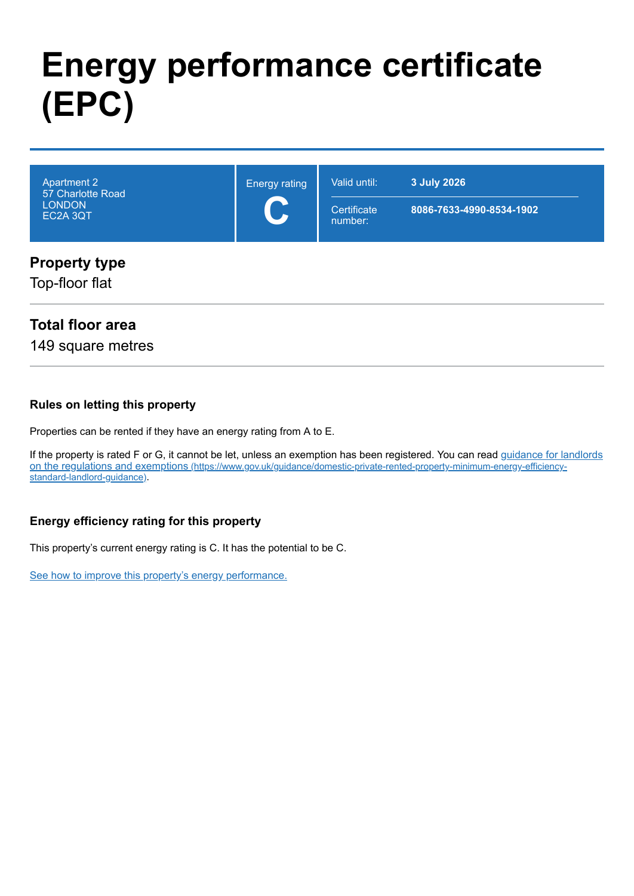# **Energy performance certificate (EPC)**

| <b>Apartment 2</b><br>57 Charlotte Road<br><b>LONDON</b><br>EC2A 3QT | <b>Energy rating</b><br>$\mathbf C$ | Valid until:<br>Certificate<br>number: | 3 July 2026<br>8086-7633-4990-8534-1902 |
|----------------------------------------------------------------------|-------------------------------------|----------------------------------------|-----------------------------------------|
| <b>Property type</b><br>Top-floor flat                               |                                     |                                        |                                         |

## **Total floor area**

149 square metres

#### **Rules on letting this property**

Properties can be rented if they have an energy rating from A to E.

[If the property is rated F or G, it cannot be let, unless an exemption has been registered. You can read guidance for landlords](https://www.gov.uk/guidance/domestic-private-rented-property-minimum-energy-efficiency-standard-landlord-guidance) on the regulations and exemptions (https://www.gov.uk/guidance/domestic-private-rented-property-minimum-energy-efficiencystandard-landlord-guidance).

#### **Energy efficiency rating for this property**

This property's current energy rating is C. It has the potential to be C.

[See how to improve this property's energy performance.](#page-3-0)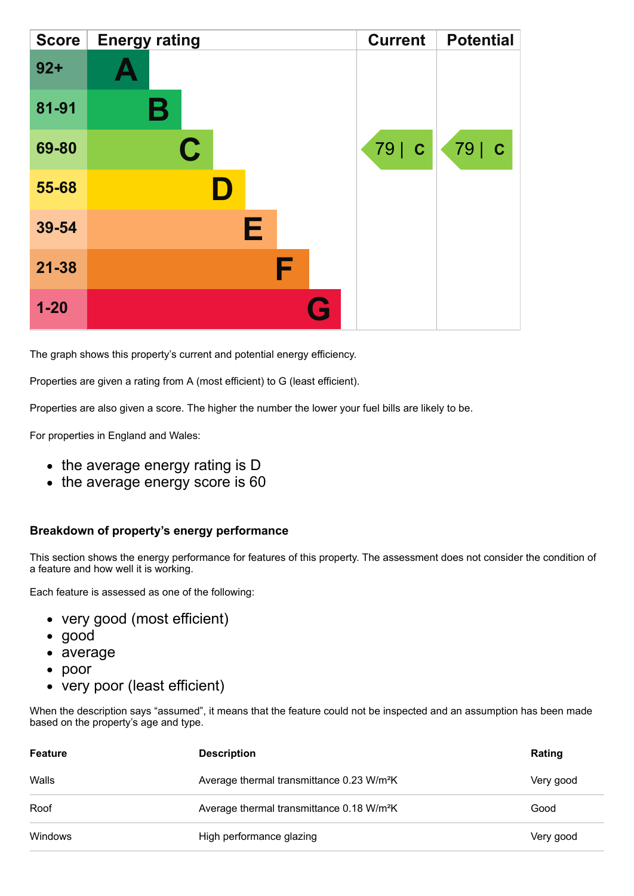| <b>Score</b> | <b>Energy rating</b> | <b>Current</b> | <b>Potential</b> |
|--------------|----------------------|----------------|------------------|
| $92 +$       |                      |                |                  |
| 81-91        | В                    |                |                  |
| 69-80        | C                    | 79   C         | 79   C           |
| 55-68        |                      |                |                  |
| 39-54        | E                    |                |                  |
| $21 - 38$    | F                    |                |                  |
| $1 - 20$     | Q                    |                |                  |

The graph shows this property's current and potential energy efficiency.

Properties are given a rating from A (most efficient) to G (least efficient).

Properties are also given a score. The higher the number the lower your fuel bills are likely to be.

For properties in England and Wales:

- the average energy rating is D
- the average energy score is 60

#### **Breakdown of property's energy performance**

This section shows the energy performance for features of this property. The assessment does not consider the condition of a feature and how well it is working.

Each feature is assessed as one of the following:

- very good (most efficient)
- good
- average
- poor
- very poor (least efficient)

When the description says "assumed", it means that the feature could not be inspected and an assumption has been made based on the property's age and type.

| Feature | <b>Description</b>                                    | Rating    |
|---------|-------------------------------------------------------|-----------|
| Walls   | Average thermal transmittance 0.23 W/m <sup>2</sup> K | Very good |
| Roof    | Average thermal transmittance 0.18 W/m <sup>2</sup> K | Good      |
| Windows | High performance glazing                              | Very good |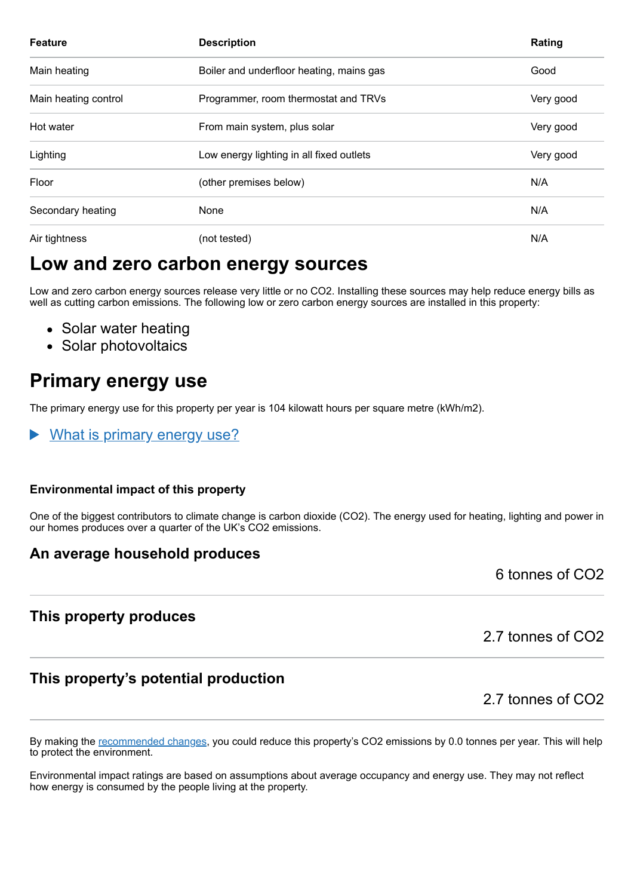| <b>Feature</b>       | <b>Description</b>                       | Rating    |
|----------------------|------------------------------------------|-----------|
| Main heating         | Boiler and underfloor heating, mains gas | Good      |
| Main heating control | Programmer, room thermostat and TRVs     | Very good |
| Hot water            | From main system, plus solar             | Very good |
| Lighting             | Low energy lighting in all fixed outlets | Very good |
| Floor                | (other premises below)                   | N/A       |
| Secondary heating    | None                                     | N/A       |
| Air tightness        | (not tested)                             | N/A       |

# **Low and zero carbon energy sources**

Low and zero carbon energy sources release very little or no CO2. Installing these sources may help reduce energy bills as well as cutting carbon emissions. The following low or zero carbon energy sources are installed in this property:

- Solar water heating
- Solar photovoltaics

# **Primary energy use**

The primary energy use for this property per year is 104 kilowatt hours per square metre (kWh/m2).

What is primary energy use?

#### **Environmental impact of this property**

One of the biggest contributors to climate change is carbon dioxide (CO2). The energy used for heating, lighting and power in our homes produces over a quarter of the UK's CO2 emissions.

## **An average household produces**

6 tonnes of CO2

## **This property produces**

2.7 tonnes of CO2

# **This property's potential production**

2.7 tonnes of CO2

By making the [recommended changes,](#page-3-0) you could reduce this property's CO2 emissions by 0.0 tonnes per year. This will help to protect the environment.

Environmental impact ratings are based on assumptions about average occupancy and energy use. They may not reflect how energy is consumed by the people living at the property.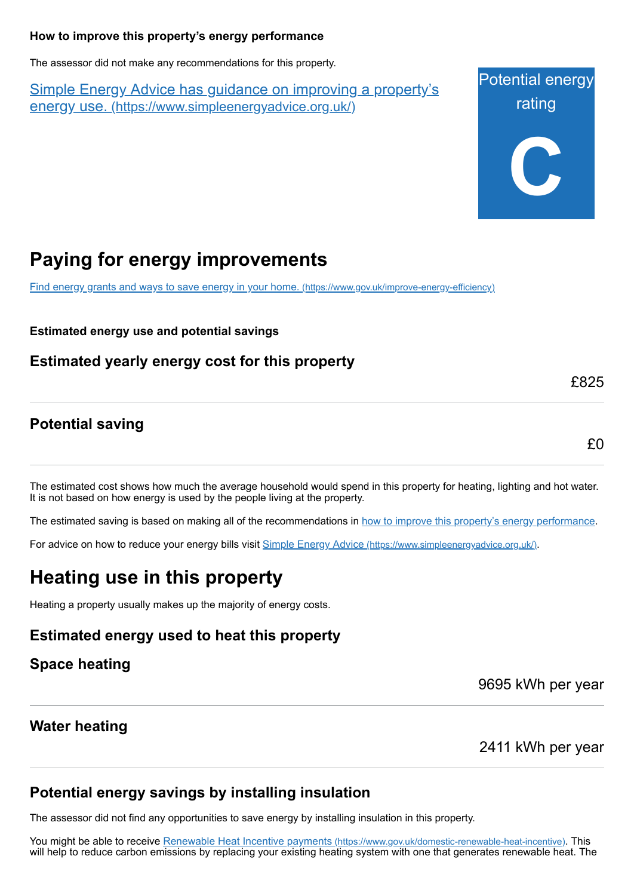#### <span id="page-3-0"></span>**How to improve this property's energy performance**

The assessor did not make any recommendations for this property.

Simple Energy Advice has guidance on improving a property's energy use. [\(https://www.simpleenergyadvice.org.uk/\)](https://www.simpleenergyadvice.org.uk/)

Potential energy rating **C**

# **Paying for energy improvements**

[Find energy grants and ways to save energy in your home.](https://www.gov.uk/improve-energy-efficiency) (https://www.gov.uk/improve-energy-efficiency)

**Estimated energy use and potential savings**

**Estimated yearly energy cost for this property**

## **Potential saving**

£0

£825

The estimated cost shows how much the average household would spend in this property for heating, lighting and hot water. It is not based on how energy is used by the people living at the property.

The estimated saving is based on making all of the recommendations in [how to improve this property's energy performance.](#page-3-0)

For advice on how to reduce your energy bills visit Simple Energy Advice [\(https://www.simpleenergyadvice.org.uk/\)](https://www.simpleenergyadvice.org.uk/).

# **Heating use in this property**

Heating a property usually makes up the majority of energy costs.

## **Estimated energy used to heat this property**

## **Space heating**

9695 kWh per year

## **Water heating**

2411 kWh per year

## **Potential energy savings by installing insulation**

The assessor did not find any opportunities to save energy by installing insulation in this property.

You might be able to receive Renewable Heat Incentive payments [\(https://www.gov.uk/domestic-renewable-heat-incentive\)](https://www.gov.uk/domestic-renewable-heat-incentive). This will help to reduce carbon emissions by replacing your existing heating system with one that generates renewable heat. The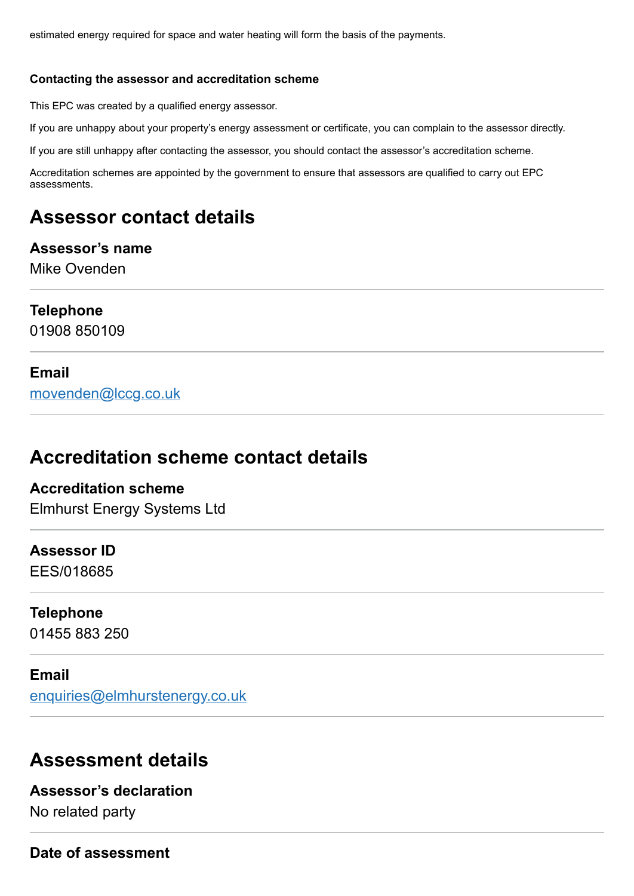estimated energy required for space and water heating will form the basis of the payments.

#### **Contacting the assessor and accreditation scheme**

This EPC was created by a qualified energy assessor.

If you are unhappy about your property's energy assessment or certificate, you can complain to the assessor directly.

If you are still unhappy after contacting the assessor, you should contact the assessor's accreditation scheme.

Accreditation schemes are appointed by the government to ensure that assessors are qualified to carry out EPC assessments.

# **Assessor contact details**

#### **Assessor's name** Mike Ovenden

#### **Telephone**

01908 850109

#### **Email**

[movenden@lccg.co.uk](mailto:movenden@lccg.co.uk)

# **Accreditation scheme contact details**

# **Accreditation scheme**

Elmhurst Energy Systems Ltd

# **Assessor ID**

EES/018685

#### **Telephone**

01455 883 250

#### **Email**

[enquiries@elmhurstenergy.co.uk](mailto:enquiries@elmhurstenergy.co.uk)

# **Assessment details**

## **Assessor's declaration** No related party

**Date of assessment**